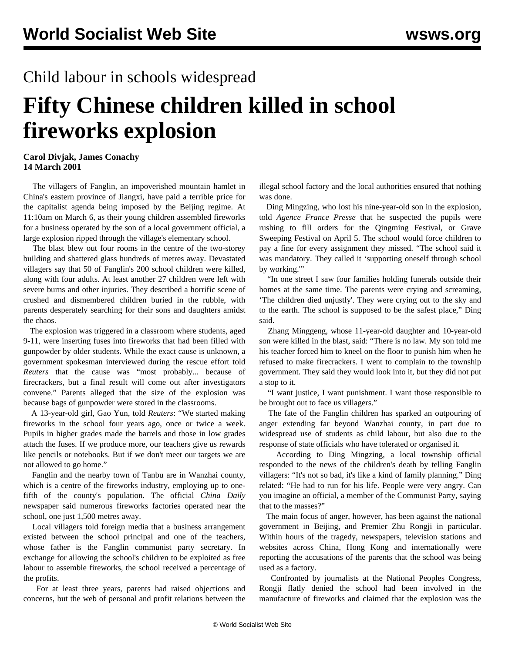## Child labour in schools widespread

## **Fifty Chinese children killed in school fireworks explosion**

## **Carol Divjak, James Conachy 14 March 2001**

 The villagers of Fanglin, an impoverished mountain hamlet in China's eastern province of Jiangxi, have paid a terrible price for the capitalist agenda being imposed by the Beijing regime. At 11:10am on March 6, as their young children assembled fireworks for a business operated by the son of a local government official, a large explosion ripped through the village's elementary school.

 The blast blew out four rooms in the centre of the two-storey building and shattered glass hundreds of metres away. Devastated villagers say that 50 of Fanglin's 200 school children were killed, along with four adults. At least another 27 children were left with severe burns and other injuries. They described a horrific scene of crushed and dismembered children buried in the rubble, with parents desperately searching for their sons and daughters amidst the chaos.

 The explosion was triggered in a classroom where students, aged 9-11, were inserting fuses into fireworks that had been filled with gunpowder by older students. While the exact cause is unknown, a government spokesman interviewed during the rescue effort told *Reuters* that the cause was "most probably... because of firecrackers, but a final result will come out after investigators convene." Parents alleged that the size of the explosion was because bags of gunpowder were stored in the classrooms.

 A 13-year-old girl, Gao Yun, told *Reuters*: "We started making fireworks in the school four years ago, once or twice a week. Pupils in higher grades made the barrels and those in low grades attach the fuses. If we produce more, our teachers give us rewards like pencils or notebooks. But if we don't meet our targets we are not allowed to go home."

 Fanglin and the nearby town of Tanbu are in Wanzhai county, which is a centre of the fireworks industry, employing up to onefifth of the county's population. The official *China Daily* newspaper said numerous fireworks factories operated near the school, one just 1,500 metres away.

 Local villagers told foreign media that a business arrangement existed between the school principal and one of the teachers, whose father is the Fanglin communist party secretary. In exchange for allowing the school's children to be exploited as free labour to assemble fireworks, the school received a percentage of the profits.

 For at least three years, parents had raised objections and concerns, but the web of personal and profit relations between the

illegal school factory and the local authorities ensured that nothing was done.

 Ding Mingzing, who lost his nine-year-old son in the explosion, told *Agence France Presse* that he suspected the pupils were rushing to fill orders for the Qingming Festival, or Grave Sweeping Festival on April 5. The school would force children to pay a fine for every assignment they missed. "The school said it was mandatory. They called it 'supporting oneself through school by working."

 "In one street I saw four families holding funerals outside their homes at the same time. The parents were crying and screaming, 'The children died unjustly'. They were crying out to the sky and to the earth. The school is supposed to be the safest place," Ding said.

 Zhang Minggeng, whose 11-year-old daughter and 10-year-old son were killed in the blast, said: "There is no law. My son told me his teacher forced him to kneel on the floor to punish him when he refused to make firecrackers. I went to complain to the township government. They said they would look into it, but they did not put a stop to it.

 "I want justice, I want punishment. I want those responsible to be brought out to face us villagers."

 The fate of the Fanglin children has sparked an outpouring of anger extending far beyond Wanzhai county, in part due to widespread use of students as child labour, but also due to the response of state officials who have tolerated or organised it.

 According to Ding Mingzing, a local township official responded to the news of the children's death by telling Fanglin villagers: "It's not so bad, it's like a kind of family planning." Ding related: "He had to run for his life. People were very angry. Can you imagine an official, a member of the Communist Party, saying that to the masses?"

 The main focus of anger, however, has been against the national government in Beijing, and Premier Zhu Rongji in particular. Within hours of the tragedy, newspapers, television stations and websites across China, Hong Kong and internationally were reporting the accusations of the parents that the school was being used as a factory.

 Confronted by journalists at the National Peoples Congress, Rongji flatly denied the school had been involved in the manufacture of fireworks and claimed that the explosion was the